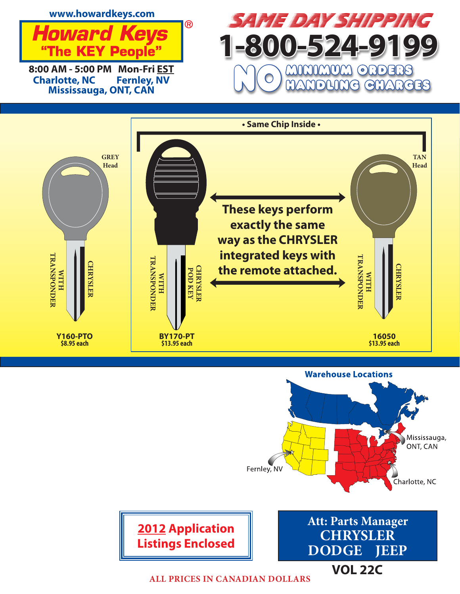







**VOL 22C**

**ALL PRICES IN CANADIAN DOLLARS**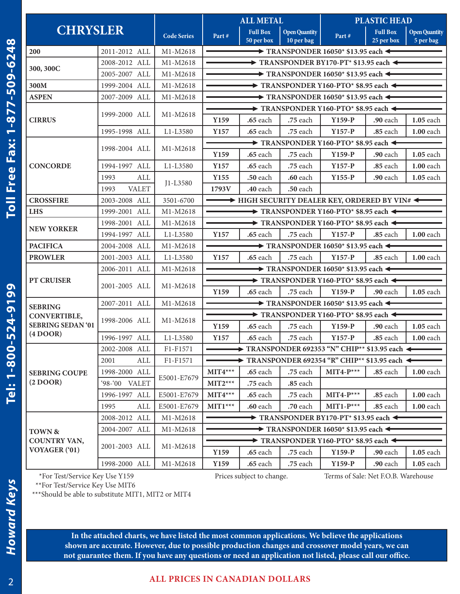Tel: 1-800-524-9199

| <b>CHRYSLER</b>                                |                      |                    | <b>ALL METAL</b>                                                             |                                                              | <b>PLASTIC HEAD</b>                |                                                            |                               |                                   |  |
|------------------------------------------------|----------------------|--------------------|------------------------------------------------------------------------------|--------------------------------------------------------------|------------------------------------|------------------------------------------------------------|-------------------------------|-----------------------------------|--|
|                                                |                      | <b>Code Series</b> | Part#                                                                        | <b>Full Box</b><br>50 per box                                | <b>Open Quantity</b><br>10 per bag | Part#                                                      | <b>Full Box</b><br>25 per box | <b>Open Quantity</b><br>5 per bag |  |
| 200                                            | 2011-2012 ALL        | M1-M2618           |                                                                              |                                                              |                                    | $\rightarrow$ TRANSPONDER 16050* \$13.95 each $\leftarrow$ |                               |                                   |  |
| 300, 300C                                      | 2008-2012 ALL        | M1-M2618           | $\rightarrow$ TRANSPONDER BY170-PT* \$13.95 each $\leftarrow$                |                                                              |                                    |                                                            |                               |                                   |  |
|                                                | 2005-2007 ALL        | M1-M2618           |                                                                              |                                                              |                                    | $\rightarrow$ TRANSPONDER 16050* \$13.95 each $\leftarrow$ |                               |                                   |  |
| 300M                                           | 1999-2004 ALL        | M1-M2618           |                                                                              | $\rightarrow$ TRANSPONDER Y160-PTO* \$8.95 each $\leftarrow$ |                                    |                                                            |                               |                                   |  |
| <b>ASPEN</b>                                   | 2007-2009 ALL        | M1-M2618           |                                                                              | $\rightarrow$ TRANSPONDER 16050* \$13.95 each $\leftarrow$   |                                    |                                                            |                               |                                   |  |
|                                                |                      | M1-M2618           | $\rightarrow$ TRANSPONDER Y160-PTO* \$8.95 each $\leftarrow$                 |                                                              |                                    |                                                            |                               |                                   |  |
| <b>CIRRUS</b>                                  | 1999-2000 ALL        |                    | Y159                                                                         | .65 each                                                     | .75 each                           | $Y159-P$                                                   | .90 each                      | <b>1.05</b> each                  |  |
|                                                | 1995-1998 ALL        | L1-L3580           | Y157                                                                         | .65 each                                                     | .75 each                           | $Y157-P$                                                   | $.85$ each                    | 1.00 each                         |  |
|                                                |                      |                    | $\rightarrow$ TRANSPONDER Y160-PTO* \$8.95 each $\rightarrow$                |                                                              |                                    |                                                            |                               |                                   |  |
|                                                | 1998-2004 ALL        | M1-M2618           | Y159                                                                         | .65 each                                                     | .75 each                           | $Y159-P$                                                   | <b>.90</b> each               | $1.05$ each                       |  |
| <b>CONCORDE</b>                                | 1994-1997 ALL        | L1-L3580           | Y157                                                                         | .65 each                                                     | .75 each                           | $Y157-P$                                                   | .85 each                      | 1.00 each                         |  |
|                                                | 1993<br>ALL          |                    | Y155                                                                         | .50 each                                                     | .60 each                           | $Y155-P$                                                   | .90 each                      | 1.05 each                         |  |
|                                                | <b>VALET</b><br>1993 | J1-L3580           | 1793V                                                                        | .40 each                                                     | .50 each                           |                                                            |                               |                                   |  |
| <b>CROSSFIRE</b>                               | 2003-2008 ALL        | 3501-6700          |                                                                              |                                                              |                                    | $\rightarrow$ HIGH SECURITY DEALER KEY, ORDERED BY VIN#    |                               |                                   |  |
| <b>LHS</b>                                     | 1999-2001 ALL        | M1-M2618           | $\rightarrow$ TRANSPONDER Y160-PTO* \$8.95 each $\leftarrow$                 |                                                              |                                    |                                                            |                               |                                   |  |
|                                                | 1998-2001 ALL        | M1-M2618           | $\rightarrow$ TRANSPONDER Y160-PTO* \$8.95 each $\leftarrow$                 |                                                              |                                    |                                                            |                               |                                   |  |
| <b>NEW YORKER</b>                              | 1994-1997 ALL        | L1-L3580           | Y157                                                                         | .65 each                                                     | .75 each                           | $Y157-P$                                                   | .85 each                      | <b>1.00</b> each                  |  |
| <b>PACIFICA</b>                                | 2004-2008 ALL        | M1-M2618           |                                                                              |                                                              |                                    | $\rightarrow$ TRANSPONDER 16050* \$13.95 each $\leftarrow$ |                               |                                   |  |
| <b>PROWLER</b>                                 | 2001-2003 ALL        | L1-L3580           | Y157                                                                         | .65 each                                                     | .75 each                           | $Y157-P$                                                   | .85 each                      | 1.00 each                         |  |
|                                                | 2006-2011 ALL        | M1-M2618           | $\rightarrow$ TRANSPONDER 16050* \$13.95 each $\leftarrow$                   |                                                              |                                    |                                                            |                               |                                   |  |
| <b>PT CRUISER</b>                              |                      | M1-M2618           | $\rightarrow$ TRANSPONDER Y160-PTO* \$8.95 each $\leftarrow$                 |                                                              |                                    |                                                            |                               |                                   |  |
|                                                | 2001-2005 ALL        |                    | Y159                                                                         | $.65$ each                                                   | .75 each                           | $Y159-P$                                                   | .90 each                      | 1.05 each                         |  |
| <b>SEBRING</b>                                 | 2007-2011 ALL        | M1-M2618           | $\rightarrow$ TRANSPONDER 16050* \$13.95 each $\leftarrow$                   |                                                              |                                    |                                                            |                               |                                   |  |
| CONVERTIBLE,                                   |                      | M1-M2618           | $\rightarrow$ TRANSPONDER Y160-PTO* \$8.95 each $\leftarrow$                 |                                                              |                                    |                                                            |                               |                                   |  |
| <b>SEBRING SEDAN '01</b>                       | 1998-2006 ALL        |                    | Y159                                                                         | $.65$ each                                                   | .75 each                           | $Y159-P$                                                   | .90 each                      | $1.05$ each                       |  |
| (4 DOOR)                                       | 1996-1997 ALL        | L1-L3580           | Y157                                                                         | .65 each                                                     | .75 each                           | $Y157-P$                                                   | .85 each                      | <b>1.00</b> each                  |  |
|                                                | 2002-2008 ALL        | F1-F1571           | $\rightarrow$ TRANSPONDER 692353 "N" CHIP** \$13.95 each $\leftarrow$        |                                                              |                                    |                                                            |                               |                                   |  |
|                                                | 2001<br>ALL          | F1-F1571           | $\rightarrow$ TRANSPONDER 692354 "R" CHIP** \$13.95 each $\leftarrow$        |                                                              |                                    |                                                            |                               |                                   |  |
| <b>SEBRING COUPE</b>                           | 1998-2000 ALL        |                    | $MIT4***$                                                                    | .65 each                                                     | .75 each                           | $MIT4-P***$                                                | .85 each                      | <b>1.00</b> each                  |  |
| (2 DOOR)                                       | '98-'00 VALET        | E5001-E7679        | $MIT2***$                                                                    | .75 each                                                     | .85 each                           |                                                            |                               |                                   |  |
|                                                | 1996-1997 ALL        | E5001-E7679        | $MIT4***$                                                                    | .65 each                                                     | .75 each                           | $MIT4-P***$                                                | .85 each                      | <b>1.00</b> each                  |  |
|                                                | 1995<br>ALL          | E5001-E7679        | $MIT1***$                                                                    | .60 each                                                     | .70 each                           | $MIT1-P***$                                                | .85 each                      | $1.00$ each                       |  |
|                                                | 2008-2012 ALL        | M1-M2618           | TRANSPONDER BY170-PT* \$13.95 each $\triangleleft$                           |                                                              |                                    |                                                            |                               |                                   |  |
| TOWN &<br><b>COUNTRY VAN,</b><br>VOYAGER ('01) | 2004-2007 ALL        | M1-M2618           | $\blacktriangleright$ TRANSPONDER 16050* \$13.95 each $\blacktriangleleft$   |                                                              |                                    |                                                            |                               |                                   |  |
|                                                |                      | M1-M2618           | $\blacktriangleright$ TRANSPONDER Y160-PTO* \$8.95 each $\blacktriangleleft$ |                                                              |                                    |                                                            |                               |                                   |  |
|                                                | 2001-2003 ALL        |                    | Y159                                                                         | .65 each                                                     | .75 each                           | $Y159-P$                                                   | <b>.90</b> each               | <b>1.05</b> each                  |  |
|                                                | 1998-2000 ALL        | M1-M2618           | Y159                                                                         | .65 each                                                     | .75 each                           | $Y159-P$                                                   | .90 each                      | 1.05 each                         |  |
| *For Test/Service Key Use Y159                 |                      |                    | Prices subject to change.<br>Terms of Sale: Net F.O.B. Warehouse             |                                                              |                                    |                                                            |                               |                                   |  |

\*\*For Test/Service Key Use MIT6

\*\*\*Should be able to substitute MIT1, MIT2 or MIT4

**In the attached charts, we have listed the most common applications. We believe the applications shown are accurate. However, due to possible production changes and crossover model years, we can not guarantee them. If you have any questions or need an application not listed, please call our office.**

**Howard Keys**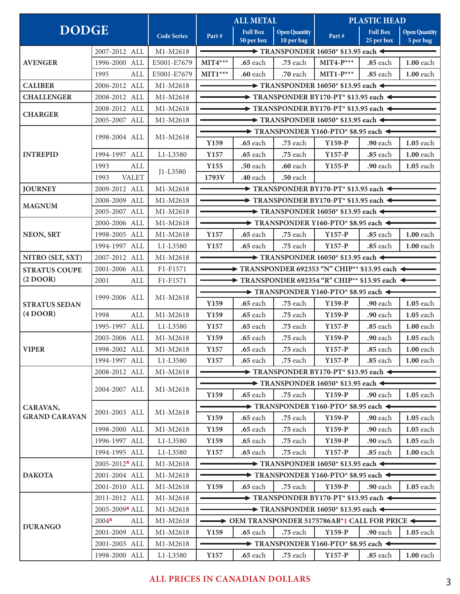| <b>DODGE</b>                    |                                                 | <b>Code Series</b>               | <b>ALL METAL</b>                                                                                                           |                               | <b>PLASTIC HEAD</b>                |                                                                       |                               |                                   |  |  |
|---------------------------------|-------------------------------------------------|----------------------------------|----------------------------------------------------------------------------------------------------------------------------|-------------------------------|------------------------------------|-----------------------------------------------------------------------|-------------------------------|-----------------------------------|--|--|
|                                 |                                                 |                                  | Part#                                                                                                                      | <b>Full Box</b><br>50 per box | <b>Open Quantity</b><br>10 per bag | Part#                                                                 | <b>Full Box</b><br>25 per box | <b>Open Quantity</b><br>5 per bag |  |  |
|                                 | 2007-2012 ALL                                   | M1-M2618                         | $\rightarrow$ TRANSPONDER 16050* \$13.95 each $\leftarrow$                                                                 |                               |                                    |                                                                       |                               |                                   |  |  |
| <b>AVENGER</b>                  | 1996-2000 ALL                                   | E5001-E7679                      | $MIT4***$                                                                                                                  | $.65$ each                    | .75 each                           | $MIT4-P***$                                                           | .85 each                      | 1.00 each                         |  |  |
|                                 | ALL<br>1995                                     | E5001-E7679                      | $MIT1***$                                                                                                                  | .60 each                      | .70 each                           | $MIT1-P***$                                                           | .85 each                      | 1.00 each                         |  |  |
| <b>CALIBER</b>                  | 2006-2012 ALL                                   | M1-M2618                         | $\rightarrow$ TRANSPONDER 16050* \$13.95 each $\leftarrow$                                                                 |                               |                                    |                                                                       |                               |                                   |  |  |
| <b>CHALLENGER</b>               | 2008-2012 ALL                                   | M1-M2618                         | $\rightarrow$ TRANSPONDER BY170-PT* \$13.95 each $\leftarrow$                                                              |                               |                                    |                                                                       |                               |                                   |  |  |
|                                 | 2008-2012 ALL                                   | M1-M2618                         | $\rightarrow$ TRANSPONDER BY170-PT* \$13.95 each $\rightarrow$                                                             |                               |                                    |                                                                       |                               |                                   |  |  |
| <b>CHARGER</b>                  | 2005-2007 ALL                                   | M1-M2618                         | $\rightarrow$ TRANSPONDER 16050* \$13.95 each $\leftarrow$                                                                 |                               |                                    |                                                                       |                               |                                   |  |  |
|                                 |                                                 | M1-M2618                         | $\blacktriangleright$ TRANSPONDER Y160-PTO* \$8.95 each $\blacktriangleleft$                                               |                               |                                    |                                                                       |                               |                                   |  |  |
|                                 | 1998-2004 ALL                                   |                                  | Y <sub>159</sub>                                                                                                           | .65 each                      | .75 each                           | $Y159-P$                                                              | .90 each                      | 1.05 each                         |  |  |
| <b>INTREPID</b>                 | 1994-1997 ALL                                   | L1-L3580                         | Y157                                                                                                                       | .65 each                      | .75 each                           | $Y157-P$                                                              | .85 each                      | <b>1.00</b> each                  |  |  |
|                                 | ALL<br>1993                                     |                                  | Y155                                                                                                                       | .50 each                      | <b>.60</b> each                    | $Y155-P$                                                              | .90 each                      | 1.05 each                         |  |  |
|                                 | <b>VALET</b><br>1993                            | J1-L3580                         | 1793V                                                                                                                      | .40 each                      | .50 each                           |                                                                       |                               |                                   |  |  |
| <b>JOURNEY</b>                  | 2009-2012 ALL                                   | M1-M2618                         |                                                                                                                            |                               |                                    | $\rightarrow$ TRANSPONDER BY170-PT* \$13.95 each $\rightarrow$        |                               |                                   |  |  |
|                                 | 2008-2009 ALL                                   | M1-M2618                         |                                                                                                                            |                               |                                    |                                                                       |                               |                                   |  |  |
| <b>MAGNUM</b>                   | 2005-2007 ALL                                   |                                  | $\rightarrow$ TRANSPONDER BY170-PT* \$13.95 each $\leftarrow$                                                              |                               |                                    |                                                                       |                               |                                   |  |  |
|                                 |                                                 | M1-M2618                         | $\rightarrow$ TRANSPONDER 16050* \$13.95 each $\leftarrow$<br>TRANSPONDER Y160-PTO* \$8.95 each <                          |                               |                                    |                                                                       |                               |                                   |  |  |
|                                 | 2000-2006 ALL                                   | M1-M2618                         |                                                                                                                            |                               |                                    |                                                                       |                               |                                   |  |  |
| <b>NEON, SRT</b>                | 1998-2005 ALL                                   | M1-M2618                         | Y157                                                                                                                       | .65 each                      | .75 each                           | $Y157-P$                                                              | .85 each                      | <b>1.00</b> each                  |  |  |
|                                 | 1994-1997 ALL                                   | L1-L3580                         | Y157                                                                                                                       | .65 each                      | .75 each                           | $Y157-P$                                                              | .85 each                      | 1.00 each                         |  |  |
| NITRO (SLT, SXT)                | 2007-2012 ALL                                   | M1-M2618                         |                                                                                                                            |                               |                                    | $\rightarrow$ TRANSPONDER 16050* \$13.95 each $\leftarrow$            |                               |                                   |  |  |
| <b>STRATUS COUPE</b>            | 2001-2006 ALL                                   | F1-F1571                         |                                                                                                                            |                               |                                    | $\rightarrow$ TRANSPONDER 692353 "N" CHIP** \$13.95 each $\leftarrow$ |                               |                                   |  |  |
| (2 DOOR)                        | 2001<br>ALL                                     | F1-F1571                         | $\blacktriangleright$ TRANSPONDER 692354 "R" CHIP** \$13.95 each $\blacktriangleright$                                     |                               |                                    |                                                                       |                               |                                   |  |  |
|                                 | 1999-2006 ALL                                   | M1-M2618                         |                                                                                                                            |                               |                                    | $\rightarrow$ TRANSPONDER Y160-PTO* \$8.95 each $\leftarrow$          |                               |                                   |  |  |
| <b>STRATUS SEDAN</b>            |                                                 |                                  | Y159                                                                                                                       | .65 each                      | .75 each                           | $Y159-P$                                                              | <b>.90</b> each               | <b>1.05</b> each                  |  |  |
| (4 DOOR)                        | 1998<br>ALL                                     | M1-M2618                         | Y159                                                                                                                       | <b>.65</b> each               | .75 each                           | $Y159-P$                                                              | .90 each                      | $1.05$ each                       |  |  |
|                                 | 1995-1997 ALL                                   | L1-L3580                         | Y157                                                                                                                       | .65 each                      | .75 each                           | $Y157-P$                                                              | .85 each                      | 1.00 each                         |  |  |
|                                 | 2003-2006 ALL                                   | M1-M2618                         | Y159                                                                                                                       | .65 each                      | .75 each                           | Y159-P                                                                | .90 each                      | 1.05 each                         |  |  |
| <b>VIPER</b>                    | 1998-2002 ALL                                   | M1-M2618                         | Y157                                                                                                                       | .65 each                      | .75 each                           | $Y157-P$                                                              | .85 each                      | <b>1.00</b> each                  |  |  |
|                                 | 1994-1997 ALL                                   | L1-L3580                         | Y <sub>157</sub>                                                                                                           | <b>.65</b> each               | .75 each                           | $Y157-P$                                                              | <b>.85</b> each               | $1.00$ each                       |  |  |
|                                 | 2008-2012 ALL                                   | M1-M2618                         | $\rightarrow$ TRANSPONDER BY170-PT* \$13.95 each $\leftarrow$                                                              |                               |                                    |                                                                       |                               |                                   |  |  |
|                                 | 2004-2007 ALL<br>2001-2003 ALL<br>1998-2000 ALL | M1-M2618<br>M1-M2618<br>M1-M2618 |                                                                                                                            |                               |                                    | $\rightarrow$ TRANSPONDER 16050* \$13.95 each $\leftarrow$            |                               |                                   |  |  |
|                                 |                                                 |                                  | Y <sub>159</sub>                                                                                                           | <b>.65</b> each               | .75 each                           | $Y159-P$                                                              | <b>.90</b> each               | $1.05$ each                       |  |  |
| CARAVAN,                        |                                                 |                                  |                                                                                                                            |                               |                                    | $\rightarrow$ TRANSPONDER Y160-PTO* \$8.95 each $\leftarrow$          |                               |                                   |  |  |
| <b>GRAND CARAVAN</b>            |                                                 |                                  | Y <sub>159</sub>                                                                                                           | <b>.65</b> each               | .75 each                           | $Y159-P$                                                              | .90 each                      | <b>1.05</b> each                  |  |  |
|                                 |                                                 |                                  | Y <sub>159</sub>                                                                                                           | <b>.65</b> each               | .75 each                           | $Y159-P$                                                              | .90 each                      | <b>1.05</b> each                  |  |  |
|                                 | 1996-1997 ALL                                   | L1-L3580                         | Y159                                                                                                                       | <b>.65</b> each               | .75 each                           | $Y159-P$                                                              | <b>.90</b> each               | <b>1.05</b> each                  |  |  |
|                                 | 1994-1995 ALL                                   | L1-L3580                         | Y157                                                                                                                       | <b>.65</b> each               | .75 each                           | $Y157-P$                                                              | <b>.85</b> each               | <b>1.00</b> each                  |  |  |
|                                 | $2005 - 2012$ <sup>x</sup> ALL                  | M1-M2618                         |                                                                                                                            |                               |                                    |                                                                       |                               |                                   |  |  |
|                                 |                                                 |                                  | $\rightarrow$ TRANSPONDER 16050* \$13.95 each $\leftarrow$<br>$\rightarrow$ TRANSPONDER Y160-PTO* \$8.95 each $\leftarrow$ |                               |                                    |                                                                       |                               |                                   |  |  |
| <b>DAKOTA</b><br><b>DURANGO</b> | 2001-2004 ALL                                   | M1-M2618                         |                                                                                                                            |                               |                                    |                                                                       |                               |                                   |  |  |
|                                 | 2001-2010 ALL                                   | M1-M2618                         | Y159                                                                                                                       | <b>.65</b> each               | .75 each                           | $Y159-P$                                                              | .90 each                      | <b>1.05</b> each                  |  |  |
|                                 | 2011-2012 ALL                                   | M1-M2618                         | $\rightarrow$ TRANSPONDER BY170-PT* \$13.95 each $\leftarrow$                                                              |                               |                                    |                                                                       |                               |                                   |  |  |
|                                 | 2005-2009 <sup>x</sup> ALL                      | M1-M2618                         | $\rightarrow$ TRANSPONDER 16050* \$13.95 each $\leftarrow$                                                                 |                               |                                    |                                                                       |                               |                                   |  |  |
|                                 | $2004^{\text{X}}$<br>ALL                        | M1-M2618                         |                                                                                                                            |                               |                                    | <b>← OEM TRANSPONDER 5175786AB*‡ CALL FOR PRICE ←</b>                 |                               |                                   |  |  |
|                                 | 2001-2009 ALL                                   | M1-M2618                         | Y159<br><b>.65</b> each<br>.75 each<br>$Y159-P$<br>.90 each<br>$1.05$ each                                                 |                               |                                    |                                                                       |                               |                                   |  |  |
|                                 | 2001-2003 ALL                                   | M1-M2618                         |                                                                                                                            |                               |                                    | $\rightarrow$ TRANSPONDER Y160-PTO* \$8.95 each $\leftarrow$          |                               |                                   |  |  |
|                                 | 1998-2000 ALL                                   | L1-L3580                         | Y157                                                                                                                       | <b>.65</b> each               | .75 each                           | $Y157-P$                                                              | <b>.85</b> each               | <b>1.00</b> each                  |  |  |

## **ALL PRICES IN CANADIAN DOLLARS**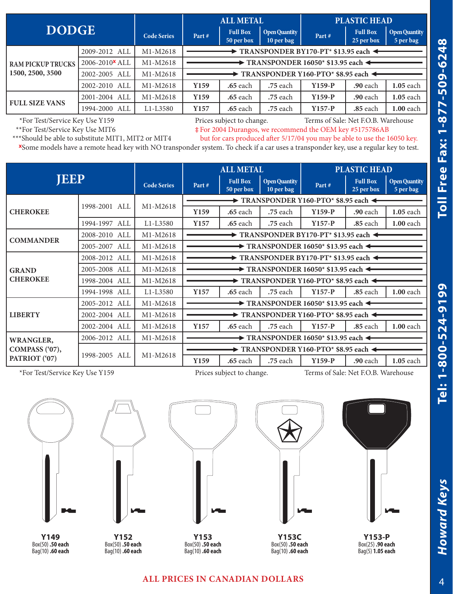| <b>DODGE</b>                                 |                            |                    | <b>ALL METAL</b>                                               |                               |                                    | <b>PLASTIC HEAD</b> |                               |                                   |  |  |
|----------------------------------------------|----------------------------|--------------------|----------------------------------------------------------------|-------------------------------|------------------------------------|---------------------|-------------------------------|-----------------------------------|--|--|
|                                              |                            | <b>Code Series</b> | Part#                                                          | <b>Full Box</b><br>50 per box | <b>Open Quantity</b><br>10 per bag | Part#               | <b>Full Box</b><br>25 per box | <b>Open Quantity</b><br>5 per bag |  |  |
|                                              | 2009-2012 ALL              | M1-M2618           | $\rightarrow$ TRANSPONDER BY170-PT* \$13.95 each $\rightarrow$ |                               |                                    |                     |                               |                                   |  |  |
| <b>RAM PICKUP TRUCKS</b><br>1500, 2500, 3500 | 2006-2010 <sup>x</sup> ALL | M1-M2618           | $\rightarrow$ TRANSPONDER 16050* \$13.95 each $\triangleleft$  |                               |                                    |                     |                               |                                   |  |  |
|                                              | 2002-2005 ALL              | M1-M2618           | TRANSPONDER Y160-PTO* \$8.95 each                              |                               |                                    |                     |                               |                                   |  |  |
|                                              | 2002-2010 ALL              | M1-M2618           | Y159                                                           | <b>.65</b> each               | .75 each                           | $Y159-P$            | <b>.90</b> each               | $1.05$ each                       |  |  |
| <b>FULL SIZE VANS</b>                        | 2001-2004 ALL              | M1-M2618           | Y159                                                           | <b>.65</b> each               | .75 each                           | $Y159-P$            | <b>.90</b> each               | $1.05$ each                       |  |  |
|                                              | ALL<br>1994-2000           | L1-L3580           | Y157                                                           | <b>.65</b> each               | .75 each                           | $Y157-P$            | .85 each                      | $1.00$ each                       |  |  |

\*For Test/Service Key Use Y159 Prices subject to change. Terms of Sale: Net F.O.B. Warehouse<br>\*\*For Test/Service Key Use MIT6  $*$  For 2004 Durangos, we recommend the OEM key #5175786AB  $*$  For 2004 Durangos, we recommend the OEM key #5175786AB

\*\*\*Should be able to substitute MIT1, MIT2 or MIT4 but for cars produced after 5/17/04 you may be able to use the 16050 key.

**<sup>x</sup>**Some models have a remote head key with NO transponder system. To check if a car uses a transponder key, use a regular key to test.

| <b>JEEP</b>                                         |               |                    | <b>ALL METAL</b>                                                           |                               |                                    | <b>PLASTIC HEAD</b> |                               |                                   |  |
|-----------------------------------------------------|---------------|--------------------|----------------------------------------------------------------------------|-------------------------------|------------------------------------|---------------------|-------------------------------|-----------------------------------|--|
|                                                     |               | <b>Code Series</b> | Part#                                                                      | <b>Full Box</b><br>50 per box | <b>Open Quantity</b><br>10 per bag | Part#               | <b>Full Box</b><br>25 per box | <b>Open Quantity</b><br>5 per bag |  |
|                                                     | 1998-2001 ALL | M1-M2618           | $\rightarrow$ TRANSPONDER Y160-PTO* \$8.95 each <                          |                               |                                    |                     |                               |                                   |  |
| <b>CHEROKEE</b>                                     |               |                    | Y <sub>159</sub>                                                           | <b>.65</b> each               | .75 each                           | $Y159-P$            | <b>.90</b> each               | $1.05$ each                       |  |
|                                                     | 1994-1997 ALL | L1-L3580           | Y157                                                                       | <b>.65</b> each               | .75 each                           | $Y157-P$            | <b>.85</b> each               | <b>1.00</b> each                  |  |
| <b>COMMANDER</b>                                    | 2008-2010 ALL | M1-M2618           | TRANSPONDER BY170-PT* \$13.95 each                                         |                               |                                    |                     |                               |                                   |  |
|                                                     | 2005-2007 ALL | M1-M2618           | $\blacktriangleright$ TRANSPONDER 16050* \$13.95 each $\blacktriangleleft$ |                               |                                    |                     |                               |                                   |  |
|                                                     | 2008-2012 ALL | M1-M2618           | $\rightarrow$ TRANSPONDER BY170-PT* \$13.95 each $\triangleleft$           |                               |                                    |                     |                               |                                   |  |
| <b>GRAND</b>                                        | 2005-2008 ALL | M1-M2618           | $\rightarrow$ TRANSPONDER 16050* \$13.95 each $\triangleleft$              |                               |                                    |                     |                               |                                   |  |
| <b>CHEROKEE</b>                                     | 1998-2004 ALL | M1-M2618           | $\blacktriangleright$ TRANSPONDER Y160-PTO* \$8.95 each <                  |                               |                                    |                     |                               |                                   |  |
|                                                     | 1994-1998 ALL | L1-L3580           | Y157                                                                       | .65 each                      | .75 each                           | $Y157-P$            | .85 each                      | $1.00$ each                       |  |
|                                                     | 2005-2012 ALL | M1-M2618           | $\blacktriangleright$ TRANSPONDER 16050* \$13.95 each $\blacktriangleleft$ |                               |                                    |                     |                               |                                   |  |
| <b>LIBERTY</b>                                      | 2002-2004 ALL | M1-M2618           | $\rightarrow$ TRANSPONDER Y160-PTO* \$8.95 each $\triangleleft$            |                               |                                    |                     |                               |                                   |  |
|                                                     | 2002-2004 ALL | M1-M2618           | Y157                                                                       | <b>.65</b> each               | .75 each                           | $Y157-P$            | .85 each                      | $1.00$ each                       |  |
| <b>WRANGLER,</b><br>COMPASS ('07),<br>PATRIOT ('07) | 2006-2012 ALL | M1-M2618           | $\rightarrow$ TRANSPONDER 16050* \$13.95 each $\leftarrow$                 |                               |                                    |                     |                               |                                   |  |
|                                                     | 1998-2005 ALL | M1-M2618           | TRANSPONDER Y160-PTO* \$8.95 each                                          |                               |                                    |                     |                               |                                   |  |
|                                                     |               |                    | Y <sub>159</sub>                                                           | <b>.65</b> each               | .75 each                           | $Y159-P$            | <b>.90</b> each               | $1.05$ each                       |  |

\*For Test/Service Key Use Y159 Prices subject to change. Terms of Sale: Net F.O.B. Warehouse



**Y149** Box(50) **.50 each** Bag(10) **.60 each**



**Y152** Box(50) **.50 each** Bag(10) **.60 each**



**Y153** Box(50) **.50 each** Bag(10) **.60 each**



**Y153C** Box(50) **.50 each** Bag(10) **.60 each**



## **ALL PRICES IN CANADIAN DOLLARS**

Howard Keys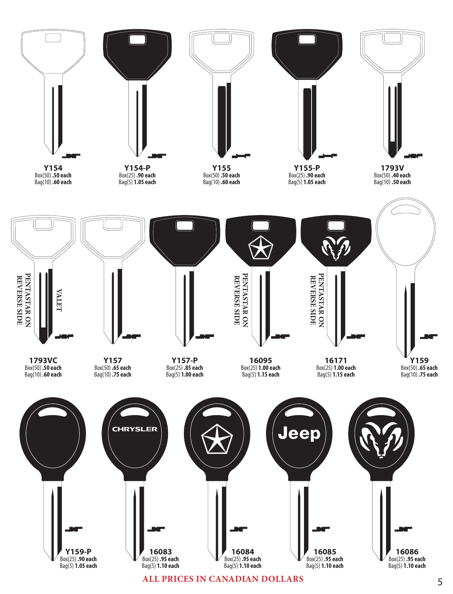

**ALL PRICES IN CANADIAN DOLLARS**